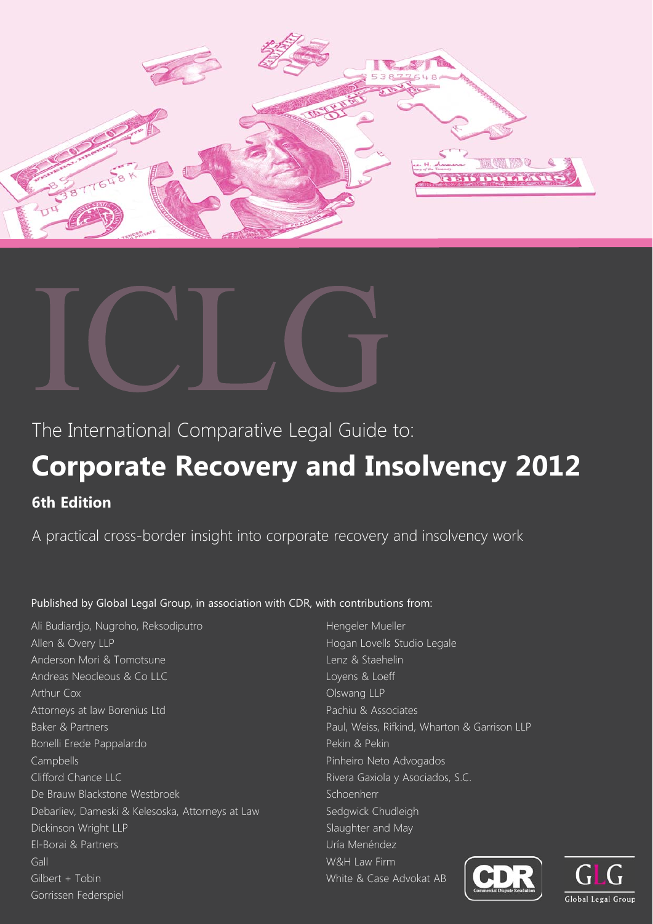



The International Comparative Legal Guide to:

# **Corporate Recovery and Insolvency 2012**

**6th Edition**

A practical cross-border insight into corporate recovery and insolvency work

### Published by Global Legal Group, in association with CDR, with contributions from:

Ali Budiardjo, Nugroho, Reksodiputro Allen & Overy LLP Anderson Mori & Tomotsune Andreas Neocleous & Co LLC Arthur Cox Attorneys at law Borenius Ltd Baker & Partners Bonelli Erede Pappalardo Campbells Clifford Chance LLC De Brauw Blackstone Westbroek Debarliev, Dameski & Kelesoska, Attorneys at Law Dickinson Wright LLP El-Borai & Partners Gall Gilbert + Tobin Gorrissen Federspiel

Hengeler Mueller Hogan Lovells Studio Legale Lenz & Staehelin Loyens & Loeff Olswang LLP Pachiu & Associates Paul, Weiss, Rifkind, Wharton & Garrison LLP Pekin & Pekin Pinheiro Neto Advogados Rivera Gaxiola y Asociados, S.C. Schoenherr Sedgwick Chudleigh Slaughter and May Uría Menéndez W&H Law Firm White & Case Advokat AB



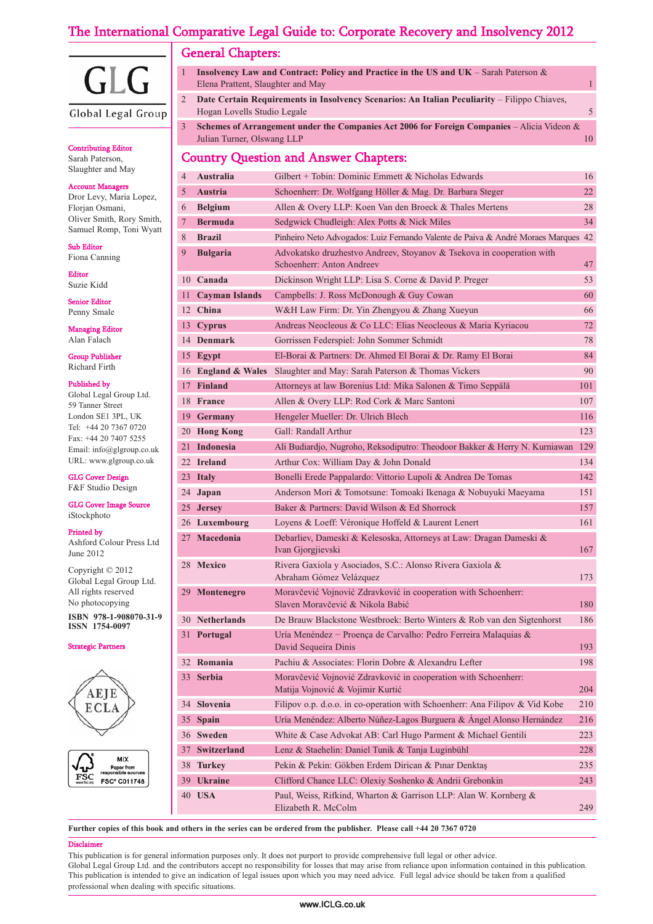## The International Comparative Legal Guide to: Corporate Recovery and Insolvency 2012



Global Legal Group

#### Contributing Editor

Sarah Paterson, Slaughter and May

#### **Account Mana**

Dror Levy, Maria Lopez, Florjan Osmani, Oliver Smith, Rory Smith, Samuel Romp, Toni Wyatt

Sub Editor Fiona Canning

Editor

Suzie Kidd

Senior Editor Penny Smale

Managing Editor Alan Falach

Group Publisher Richard Firth

#### Published by

Global Legal Group Ltd. 59 Tanner Street London SE1 3PL, UK Tel: +44 20 7367 0720 Fax: +44 20 7407 5255 Email: info@glgroup.co.uk URL: www.glgroup.co.uk

GLG Cover Design

F&F Studio Design

GLG Cover Image Source iStockphoto

#### Printed by

Ashford Colour Press Ltd June 2012

Copyright © 2012 Global Legal Group Ltd. All rights reserved No photocopying

**ISBN 978-1-908070-31-9 ISSN 1754-0097**

Strategic Partners





|                                                                            | <b>Insolvency Law and Contract: Policy and Practice in the US and UK</b> – Sarah Paterson $\&$     |  |  |  |
|----------------------------------------------------------------------------|----------------------------------------------------------------------------------------------------|--|--|--|
|                                                                            | Elena Prattent, Slaughter and May                                                                  |  |  |  |
|                                                                            | Date Certain Requirements in Insolvency Scenarios: An Italian Peculiarity – Filippo Chiaves,       |  |  |  |
|                                                                            | Hogan Lovells Studio Legale                                                                        |  |  |  |
| 3.                                                                         | <b>Schemes of Arrangement under the Companies Act 2006 for Foreign Companies</b> – Alicia Videon & |  |  |  |
|                                                                            | Julian Turner, Olswang LLP                                                                         |  |  |  |
| $C_{\text{current}}$ $C_{\text{test}}$ $C_{\text{test}}$ $C_{\text{test}}$ |                                                                                                    |  |  |  |

#### Country Question and Answer Chapters:

| $\overline{4}$ | <b>Australia</b>      | Gilbert + Tobin: Dominic Emmett & Nicholas Edwards                                                 | 16  |
|----------------|-----------------------|----------------------------------------------------------------------------------------------------|-----|
| 5              | <b>Austria</b>        | Schoenherr: Dr. Wolfgang Höller & Mag. Dr. Barbara Steger                                          | 22  |
| 6              | <b>Belgium</b>        | Allen & Overy LLP: Koen Van den Broeck & Thales Mertens                                            | 28  |
| 7              | <b>Bermuda</b>        | Sedgwick Chudleigh: Alex Potts & Nick Miles                                                        | 34  |
| 8              | <b>Brazil</b>         | Pinheiro Neto Advogados: Luiz Fernando Valente de Paiva & André Moraes Marques 42                  |     |
| 9              | <b>Bulgaria</b>       | Advokatsko druzhestvo Andreev, Stoyanov & Tsekova in cooperation with<br>Schoenherr: Anton Andreev | 47  |
|                | 10 Canada             | Dickinson Wright LLP: Lisa S. Corne & David P. Preger                                              | 53  |
| 11 -           | <b>Cayman Islands</b> | Campbells: J. Ross McDonough & Guy Cowan                                                           | 60  |
|                | 12 China              | W&H Law Firm: Dr. Yin Zhengyou & Zhang Xueyun                                                      | 66  |
|                | 13 Cyprus             | Andreas Neocleous & Co LLC: Elias Neocleous & Maria Kyriacou                                       | 72  |
|                | 14 Denmark            | Gorrissen Federspiel: John Sommer Schmidt                                                          | 78  |
|                | 15 Egypt              | El-Borai & Partners: Dr. Ahmed El Borai & Dr. Ramy El Borai                                        | 84  |
|                | 16 England & Wales    | Slaughter and May: Sarah Paterson & Thomas Vickers                                                 | 90  |
|                | 17 Finland            | Attorneys at law Borenius Ltd: Mika Salonen & Timo Seppälä                                         | 101 |
|                | 18 France             | Allen & Overy LLP: Rod Cork & Marc Santoni                                                         | 107 |
|                | 19 Germany            | Hengeler Mueller: Dr. Ulrich Blech                                                                 | 116 |
|                | 20 Hong Kong          | Gall: Randall Arthur                                                                               | 123 |
|                | 21 Indonesia          | Ali Budiardjo, Nugroho, Reksodiputro: Theodoor Bakker & Herry N. Kurniawan                         | 129 |
|                | 22 Ireland            | Arthur Cox: William Day & John Donald                                                              | 134 |
|                | 23 Italy              | Bonelli Erede Pappalardo: Vittorio Lupoli & Andrea De Tomas                                        | 142 |
|                | 24 Japan              | Anderson Mori & Tomotsune: Tomoaki Ikenaga & Nobuyuki Maeyama                                      | 151 |
|                | 25 Jersey             | Baker & Partners: David Wilson & Ed Shorrock                                                       | 157 |
|                | 26 Luxembourg         | Loyens & Loeff: Véronique Hoffeld & Laurent Lenert                                                 | 161 |
|                | 27 Macedonia          | Debarliev, Dameski & Kelesoska, Attorneys at Law: Dragan Dameski &<br>Ivan Gjorgjievski            | 167 |
|                | 28 Mexico             | Rivera Gaxiola y Asociados, S.C.: Alonso Rivera Gaxiola &<br>Abraham Gómez Velázquez               | 173 |
|                | 29 Montenegro         | Moravčević Vojnović Zdravković in cooperation with Schoenherr:<br>Slaven Moravčević & Nikola Babić | 180 |
|                | 30 Netherlands        | De Brauw Blackstone Westbroek: Berto Winters & Rob van den Sigtenhorst                             | 186 |
|                | 31 Portugal           | Uría Menéndez - Proença de Carvalho: Pedro Ferreira Malaquias &<br>David Sequeira Dinis            | 193 |
|                | 32 Romania            | Pachiu & Associates: Florin Dobre & Alexandru Lefter                                               | 198 |
|                | 33 Serbia             | Moravčević Vojnović Zdravković in cooperation with Schoenherr:<br>Matija Vojnović & Vojimir Kurtić | 204 |
| 34             | Slovenia              | Filipov o.p. d.o.o. in co-operation with Schoenherr: Ana Filipov & Vid Kobe                        | 210 |
| 35             | Spain                 | Uría Menéndez: Alberto Núñez-Lagos Burguera & Ángel Alonso Hernández                               | 216 |
| 36             | <b>Sweden</b>         | White & Case Advokat AB: Carl Hugo Parment & Michael Gentili                                       | 223 |
| 37             | <b>Switzerland</b>    | Lenz & Staehelin: Daniel Tunik & Tanja Luginbühl                                                   | 228 |
| 38             | <b>Turkey</b>         | Pekin & Pekin: Gökben Erdem Dirican & Pınar Denktaş                                                | 235 |
| 39             | <b>Ukraine</b>        | Clifford Chance LLC: Olexiy Soshenko & Andrii Grebonkin                                            | 243 |
|                | 40 USA                | Paul, Weiss, Rifkind, Wharton & Garrison LLP: Alan W. Kornberg &<br>Elizabeth R. McColm            | 249 |

**Further copies of this book and others in the series can be ordered from the publisher. Please call +44 20 7367 0720**

#### Disclair

This publication is for general information purposes only. It does not purport to provide comprehensive full legal or other advice.

Global Legal Group Ltd. and the contributors accept no responsibility for losses that may arise from reliance upon information contained in this publication. This publication is intended to give an indication of legal issues upon which you may need advice. Full legal advice should be taken from a qualified professional when dealing with specific situations.

#### www.ICLG.co.uk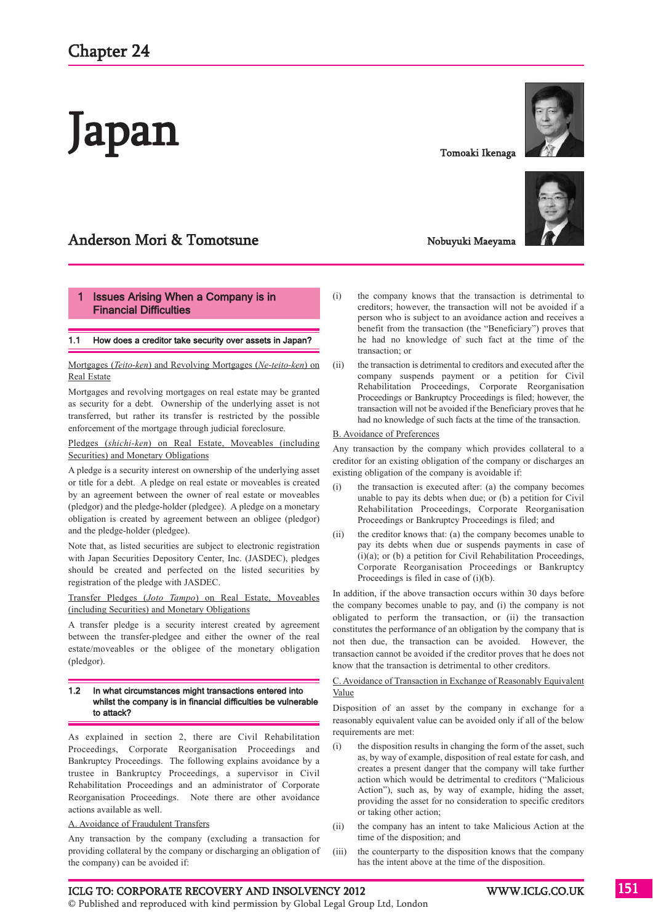# Japan

# Anderson Mori & Tomotsune

#### **Issues Arising When a Company is in** Financial Difficulties

#### 1.1 How does a creditor take security over assets in Japan?

Mortgages (*Teito-ken*) and Revolving Mortgages (*Ne-teito-ken*) on Real Estate

Mortgages and revolving mortgages on real estate may be granted as security for a debt. Ownership of the underlying asset is not transferred, but rather its transfer is restricted by the possible enforcement of the mortgage through judicial foreclosure.

Pledges (*shichi-ken*) on Real Estate, Moveables (including Securities) and Monetary Obligations

A pledge is a security interest on ownership of the underlying asset or title for a debt. A pledge on real estate or moveables is created by an agreement between the owner of real estate or moveables (pledgor) and the pledge-holder (pledgee). A pledge on a monetary obligation is created by agreement between an obligee (pledgor) and the pledge-holder (pledgee).

Note that, as listed securities are subject to electronic registration with Japan Securities Depository Center, Inc. (JASDEC), pledges should be created and perfected on the listed securities by registration of the pledge with JASDEC.

Transfer Pledges (*Joto Tampo*) on Real Estate, Moveables (including Securities) and Monetary Obligations

A transfer pledge is a security interest created by agreement between the transfer-pledgee and either the owner of the real estate/moveables or the obligee of the monetary obligation (pledgor).

#### 1.2 In what circumstances might transactions entered into whilst the company is in financial difficulties be vulnerable to attack?

As explained in section 2, there are Civil Rehabilitation Proceedings, Corporate Reorganisation Proceedings and Bankruptcy Proceedings. The following explains avoidance by a trustee in Bankruptcy Proceedings, a supervisor in Civil Rehabilitation Proceedings and an administrator of Corporate Reorganisation Proceedings. Note there are other avoidance actions available as well.

#### A. Avoidance of Fraudulent Transfers

Any transaction by the company (excluding a transaction for providing collateral by the company or discharging an obligation of the company) can be avoided if:

Tomoaki Ikenaga



# Nobuyuki Maeyama

- (i) the company knows that the transaction is detrimental to creditors; however, the transaction will not be avoided if a person who is subject to an avoidance action and receives a benefit from the transaction (the "Beneficiary") proves that he had no knowledge of such fact at the time of the transaction; or
- (ii) the transaction is detrimental to creditors and executed after the company suspends payment or a petition for Civil Rehabilitation Proceedings, Corporate Reorganisation Proceedings or Bankruptcy Proceedings is filed; however, the transaction will not be avoided if the Beneficiary proves that he had no knowledge of such facts at the time of the transaction.

#### B. Avoidance of Preferences

Any transaction by the company which provides collateral to a creditor for an existing obligation of the company or discharges an existing obligation of the company is avoidable if:

- (i) the transaction is executed after: (a) the company becomes unable to pay its debts when due; or (b) a petition for Civil Rehabilitation Proceedings, Corporate Reorganisation Proceedings or Bankruptcy Proceedings is filed; and
- (ii) the creditor knows that: (a) the company becomes unable to pay its debts when due or suspends payments in case of (i)(a); or (b) a petition for Civil Rehabilitation Proceedings, Corporate Reorganisation Proceedings or Bankruptcy Proceedings is filed in case of (i)(b).

In addition, if the above transaction occurs within 30 days before the company becomes unable to pay, and (i) the company is not obligated to perform the transaction, or (ii) the transaction constitutes the performance of an obligation by the company that is not then due, the transaction can be avoided. However, the transaction cannot be avoided if the creditor proves that he does not know that the transaction is detrimental to other creditors.

C. Avoidance of Transaction in Exchange of Reasonably Equivalent Value

Disposition of an asset by the company in exchange for a reasonably equivalent value can be avoided only if all of the below requirements are met:

- (i) the disposition results in changing the form of the asset, such as, by way of example, disposition of real estate for cash, and creates a present danger that the company will take further action which would be detrimental to creditors ("Malicious Action"), such as, by way of example, hiding the asset, providing the asset for no consideration to specific creditors or taking other action;
- (ii) the company has an intent to take Malicious Action at the time of the disposition; and
- (iii) the counterparty to the disposition knows that the company has the intent above at the time of the disposition.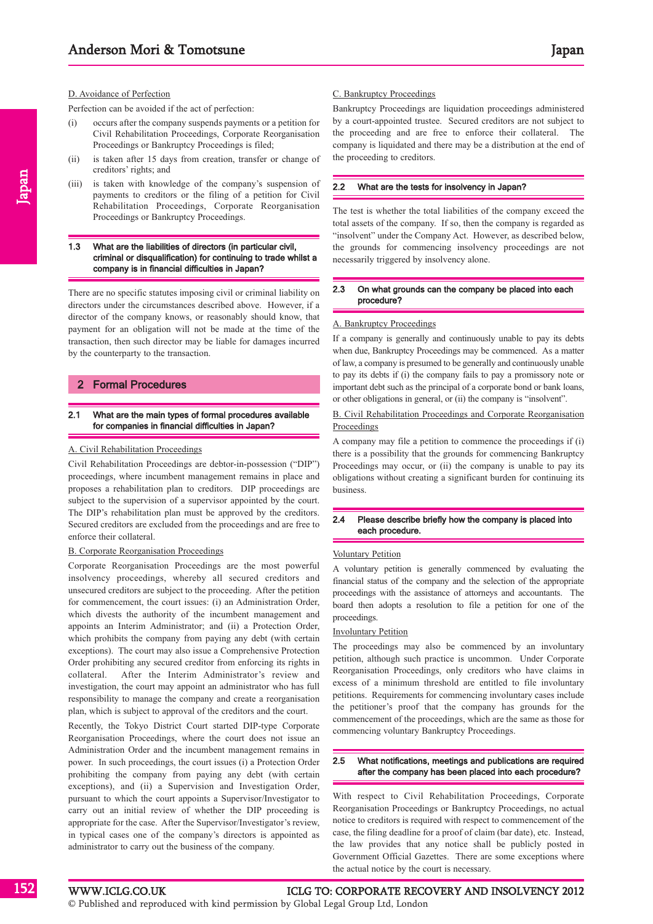#### D. Avoidance of Perfection

Perfection can be avoided if the act of perfection:

- (i) occurs after the company suspends payments or a petition for Civil Rehabilitation Proceedings, Corporate Reorganisation Proceedings or Bankruptcy Proceedings is filed;
- (ii) is taken after 15 days from creation, transfer or change of creditors' rights; and
- (iii) is taken with knowledge of the company's suspension of payments to creditors or the filing of a petition for Civil Rehabilitation Proceedings, Corporate Reorganisation Proceedings or Bankruptcy Proceedings.

#### 1.3 What are the liabilities of directors (in particular civil, criminal or disqualification) for continuing to trade whilst a company is in financial difficulties in Japan?

There are no specific statutes imposing civil or criminal liability on directors under the circumstances described above. However, if a director of the company knows, or reasonably should know, that payment for an obligation will not be made at the time of the transaction, then such director may be liable for damages incurred by the counterparty to the transaction.

#### 2 Formal Procedures

#### 2.1 What are the main types of formal procedures available for companies in financial difficulties in Japan?

#### A. Civil Rehabilitation Proceedings

Civil Rehabilitation Proceedings are debtor-in-possession ("DIP") proceedings, where incumbent management remains in place and proposes a rehabilitation plan to creditors. DIP proceedings are subject to the supervision of a supervisor appointed by the court. The DIP's rehabilitation plan must be approved by the creditors. Secured creditors are excluded from the proceedings and are free to enforce their collateral.

#### B. Corporate Reorganisation Proceedings

Corporate Reorganisation Proceedings are the most powerful insolvency proceedings, whereby all secured creditors and unsecured creditors are subject to the proceeding. After the petition for commencement, the court issues: (i) an Administration Order, which divests the authority of the incumbent management and appoints an Interim Administrator; and (ii) a Protection Order, which prohibits the company from paying any debt (with certain exceptions). The court may also issue a Comprehensive Protection Order prohibiting any secured creditor from enforcing its rights in collateral. After the Interim Administrator's review and investigation, the court may appoint an administrator who has full responsibility to manage the company and create a reorganisation plan, which is subject to approval of the creditors and the court.

Recently, the Tokyo District Court started DIP-type Corporate Reorganisation Proceedings, where the court does not issue an Administration Order and the incumbent management remains in power. In such proceedings, the court issues (i) a Protection Order prohibiting the company from paying any debt (with certain exceptions), and (ii) a Supervision and Investigation Order, pursuant to which the court appoints a Supervisor/Investigator to carry out an initial review of whether the DIP proceeding is appropriate for the case. After the Supervisor/Investigator's review, in typical cases one of the company's directors is appointed as administrator to carry out the business of the company.

#### C. Bankruptcy Proceedings

Bankruptcy Proceedings are liquidation proceedings administered by a court-appointed trustee. Secured creditors are not subject to the proceeding and are free to enforce their collateral. The company is liquidated and there may be a distribution at the end of the proceeding to creditors.

#### 2.2 What are the tests for insolvency in Japan?

The test is whether the total liabilities of the company exceed the total assets of the company. If so, then the company is regarded as "insolvent" under the Company Act. However, as described below, the grounds for commencing insolvency proceedings are not necessarily triggered by insolvency alone.

#### 2.3 On what grounds can the company be placed into each procedure?

#### A. Bankruptcy Proceedings

If a company is generally and continuously unable to pay its debts when due, Bankruptcy Proceedings may be commenced. As a matter of law, a company is presumed to be generally and continuously unable to pay its debts if (i) the company fails to pay a promissory note or important debt such as the principal of a corporate bond or bank loans, or other obligations in general, or (ii) the company is "insolvent".

#### B. Civil Rehabilitation Proceedings and Corporate Reorganisation **Proceedings**

A company may file a petition to commence the proceedings if (i) there is a possibility that the grounds for commencing Bankruptcy Proceedings may occur, or (ii) the company is unable to pay its obligations without creating a significant burden for continuing its business.

#### 2.4 Please describe briefly how the company is placed into each procedure.

#### Voluntary Petition

A voluntary petition is generally commenced by evaluating the financial status of the company and the selection of the appropriate proceedings with the assistance of attorneys and accountants. The board then adopts a resolution to file a petition for one of the proceedings.

#### Involuntary Petition

The proceedings may also be commenced by an involuntary petition, although such practice is uncommon. Under Corporate Reorganisation Proceedings, only creditors who have claims in excess of a minimum threshold are entitled to file involuntary petitions. Requirements for commencing involuntary cases include the petitioner's proof that the company has grounds for the commencement of the proceedings, which are the same as those for commencing voluntary Bankruptcy Proceedings.

#### 2.5 What notifications, meetings and publications are required after the company has been placed into each procedure?

With respect to Civil Rehabilitation Proceedings, Corporate Reorganisation Proceedings or Bankruptcy Proceedings, no actual notice to creditors is required with respect to commencement of the case, the filing deadline for a proof of claim (bar date), etc. Instead, the law provides that any notice shall be publicly posted in Government Official Gazettes. There are some exceptions where the actual notice by the court is necessary.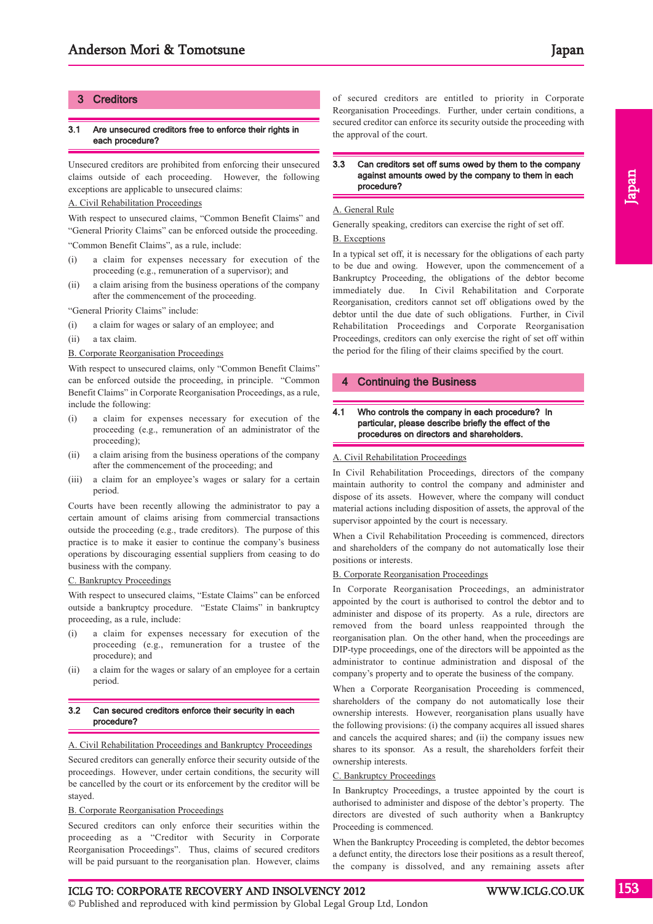#### **Creditors**

#### 3.1 Are unsecured creditors free to enforce their rights in each procedure?

Unsecured creditors are prohibited from enforcing their unsecured claims outside of each proceeding. However, the following exceptions are applicable to unsecured claims:

#### A. Civil Rehabilitation Proceedings

With respect to unsecured claims, "Common Benefit Claims" and "General Priority Claims" can be enforced outside the proceeding. "Common Benefit Claims", as a rule, include:

- (i) a claim for expenses necessary for execution of the proceeding (e.g., remuneration of a supervisor); and
- (ii) a claim arising from the business operations of the company after the commencement of the proceeding.

"General Priority Claims" include:

- (i) a claim for wages or salary of an employee; and
- (ii) a tax claim.

#### B. Corporate Reorganisation Proceedings

With respect to unsecured claims, only "Common Benefit Claims" can be enforced outside the proceeding, in principle. "Common Benefit Claims" in Corporate Reorganisation Proceedings, as a rule, include the following:

- (i) a claim for expenses necessary for execution of the proceeding (e.g., remuneration of an administrator of the proceeding);
- (ii) a claim arising from the business operations of the company after the commencement of the proceeding; and
- (iii) a claim for an employee's wages or salary for a certain period.

Courts have been recently allowing the administrator to pay a certain amount of claims arising from commercial transactions outside the proceeding (e.g., trade creditors). The purpose of this practice is to make it easier to continue the company's business operations by discouraging essential suppliers from ceasing to do business with the company.

#### C. Bankruptcy Proceedings

With respect to unsecured claims, "Estate Claims" can be enforced outside a bankruptcy procedure. "Estate Claims" in bankruptcy proceeding, as a rule, include:

- a claim for expenses necessary for execution of the proceeding (e.g., remuneration for a trustee of the procedure); and
- (ii) a claim for the wages or salary of an employee for a certain period.

#### 3.2 Can secured creditors enforce their security in each procedure?

#### A. Civil Rehabilitation Proceedings and Bankruptcy Proceedings

Secured creditors can generally enforce their security outside of the proceedings. However, under certain conditions, the security will be cancelled by the court or its enforcement by the creditor will be stayed.

#### B. Corporate Reorganisation Proceedings

Secured creditors can only enforce their securities within the proceeding as a "Creditor with Security in Corporate Reorganisation Proceedings". Thus, claims of secured creditors will be paid pursuant to the reorganisation plan. However, claims of secured creditors are entitled to priority in Corporate Reorganisation Proceedings. Further, under certain conditions, a secured creditor can enforce its security outside the proceeding with the approval of the court.

#### 3.3 Can creditors set off sums owed by them to the company against amounts owed by the company to them in each procedure?

#### A. General Rule

Generally speaking, creditors can exercise the right of set off.

#### B. Exceptions

In a typical set off, it is necessary for the obligations of each party to be due and owing. However, upon the commencement of a Bankruptcy Proceeding, the obligations of the debtor become immediately due. In Civil Rehabilitation and Corporate Reorganisation, creditors cannot set off obligations owed by the debtor until the due date of such obligations. Further, in Civil Rehabilitation Proceedings and Corporate Reorganisation Proceedings, creditors can only exercise the right of set off within the period for the filing of their claims specified by the court.

#### **Continuing the Business**

#### 4.1 Who controls the company in each procedure? In particular, please describe briefly the effect of the procedures on directors and shareholders.

#### A. Civil Rehabilitation Proceedings

In Civil Rehabilitation Proceedings, directors of the company maintain authority to control the company and administer and dispose of its assets. However, where the company will conduct material actions including disposition of assets, the approval of the supervisor appointed by the court is necessary.

When a Civil Rehabilitation Proceeding is commenced, directors and shareholders of the company do not automatically lose their positions or interests.

#### B. Corporate Reorganisation Proceedings

In Corporate Reorganisation Proceedings, an administrator appointed by the court is authorised to control the debtor and to administer and dispose of its property. As a rule, directors are removed from the board unless reappointed through the reorganisation plan. On the other hand, when the proceedings are DIP-type proceedings, one of the directors will be appointed as the administrator to continue administration and disposal of the company's property and to operate the business of the company.

When a Corporate Reorganisation Proceeding is commenced, shareholders of the company do not automatically lose their ownership interests. However, reorganisation plans usually have the following provisions: (i) the company acquires all issued shares and cancels the acquired shares; and (ii) the company issues new shares to its sponsor. As a result, the shareholders forfeit their ownership interests.

#### C. Bankruptcy Proceedings

In Bankruptcy Proceedings, a trustee appointed by the court is authorised to administer and dispose of the debtor's property. The directors are divested of such authority when a Bankruptcy Proceeding is commenced.

When the Bankruptcy Proceeding is completed, the debtor becomes a defunct entity, the directors lose their positions as a result thereof, the company is dissolved, and any remaining assets after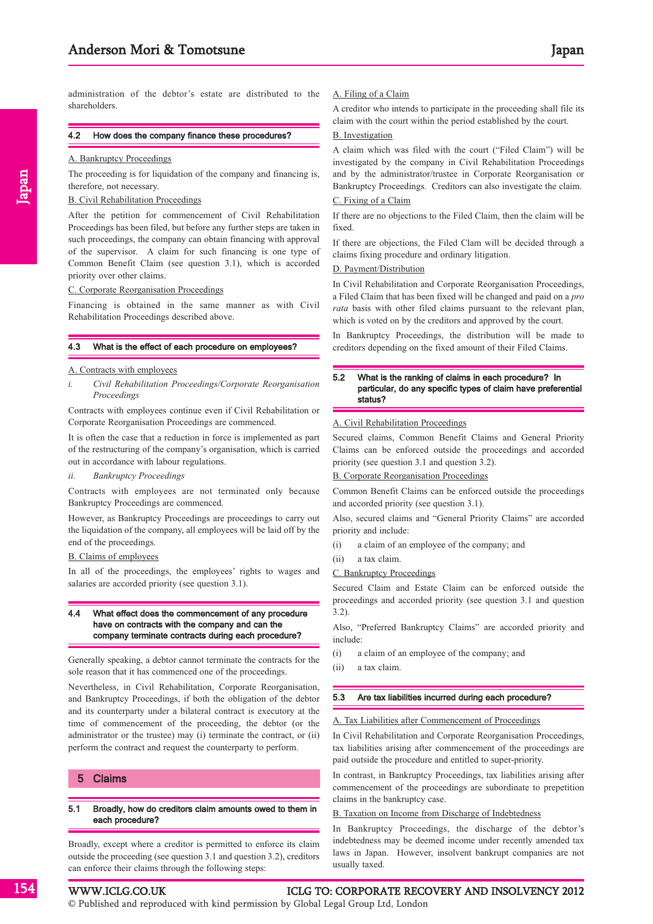administration of the debtor's estate are distributed to the shareholders.

#### 4.2 How does the company finance these procedures?

#### A. Bankruptcy Proceedings

Japan

The proceeding is for liquidation of the company and financing is, therefore, not necessary.

#### B. Civil Rehabilitation Proceedings

After the petition for commencement of Civil Rehabilitation Proceedings has been filed, but before any further steps are taken in such proceedings, the company can obtain financing with approval of the supervisor. A claim for such financing is one type of Common Benefit Claim (see question 3.1), which is accorded priority over other claims.

#### C. Corporate Reorganisation Proceedings

Financing is obtained in the same manner as with Civil Rehabilitation Proceedings described above.

#### 4.3 What is the effect of each procedure on employees?

#### A. Contracts with employees

*i. Civil Rehabilitation Proceedings/Corporate Reorganisation Proceedings*

Contracts with employees continue even if Civil Rehabilitation or Corporate Reorganisation Proceedings are commenced.

It is often the case that a reduction in force is implemented as part of the restructuring of the company's organisation, which is carried out in accordance with labour regulations.

#### *ii. Bankruptcy Proceedings*

Contracts with employees are not terminated only because Bankruptcy Proceedings are commenced.

However, as Bankruptcy Proceedings are proceedings to carry out the liquidation of the company, all employees will be laid off by the end of the proceedings.

B. Claims of employees

In all of the proceedings, the employees' rights to wages and salaries are accorded priority (see question 3.1).

#### 4.4 What effect does the commencement of any procedure have on contracts with the company and can the company terminate contracts during each procedure?

Generally speaking, a debtor cannot terminate the contracts for the sole reason that it has commenced one of the proceedings.

Nevertheless, in Civil Rehabilitation, Corporate Reorganisation, and Bankruptcy Proceedings, if both the obligation of the debtor and its counterparty under a bilateral contract is executory at the time of commencement of the proceeding, the debtor (or the administrator or the trustee) may (i) terminate the contract, or (ii) perform the contract and request the counterparty to perform.

#### 5 Claims

#### 5.1 Broadly, how do creditors claim amounts owed to them in each procedure?

Broadly, except where a creditor is permitted to enforce its claim outside the proceeding (see question 3.1 and question 3.2), creditors can enforce their claims through the following steps:

#### A. Filing of a Claim

A creditor who intends to participate in the proceeding shall file its claim with the court within the period established by the court.

#### B. Investigation

A claim which was filed with the court ("Filed Claim") will be investigated by the company in Civil Rehabilitation Proceedings and by the administrator/trustee in Corporate Reorganisation or Bankruptcy Proceedings. Creditors can also investigate the claim.

#### C. Fixing of a Claim

If there are no objections to the Filed Claim, then the claim will be fixed.

If there are objections, the Filed Clam will be decided through a claims fixing procedure and ordinary litigation.

#### D. Payment/Distribution

In Civil Rehabilitation and Corporate Reorganisation Proceedings, a Filed Claim that has been fixed will be changed and paid on a *pro rata* basis with other filed claims pursuant to the relevant plan, which is voted on by the creditors and approved by the court.

In Bankruptcy Proceedings, the distribution will be made to creditors depending on the fixed amount of their Filed Claims.

#### 5.2 What is the ranking of claims in each procedure? In particular, do any specific types of claim have preferential status?

#### A. Civil Rehabilitation Proceedings

Secured claims, Common Benefit Claims and General Priority Claims can be enforced outside the proceedings and accorded priority (see question 3.1 and question 3.2).

#### B. Corporate Reorganisation Proceedings

Common Benefit Claims can be enforced outside the proceedings and accorded priority (see question 3.1).

Also, secured claims and "General Priority Claims" are accorded priority and include:

- (i) a claim of an employee of the company; and
- (ii) a tax claim.

#### C. Bankruptcy Proceedings

Secured Claim and Estate Claim can be enforced outside the proceedings and accorded priority (see question 3.1 and question 3.2).

Also, "Preferred Bankruptcy Claims" are accorded priority and include:

- (i) a claim of an employee of the company; and
- (ii) a tax claim.

#### 5.3 Are tax liabilities incurred during each procedure?

#### A. Tax Liabilities after Commencement of Proceedings

In Civil Rehabilitation and Corporate Reorganisation Proceedings, tax liabilities arising after commencement of the proceedings are paid outside the procedure and entitled to super-priority.

In contrast, in Bankruptcy Proceedings, tax liabilities arising after commencement of the proceedings are subordinate to prepetition claims in the bankruptcy case.

#### B. Taxation on Income from Discharge of Indebtedness

In Bankruptcy Proceedings, the discharge of the debtor's indebtedness may be deemed income under recently amended tax laws in Japan. However, insolvent bankrupt companies are not usually taxed.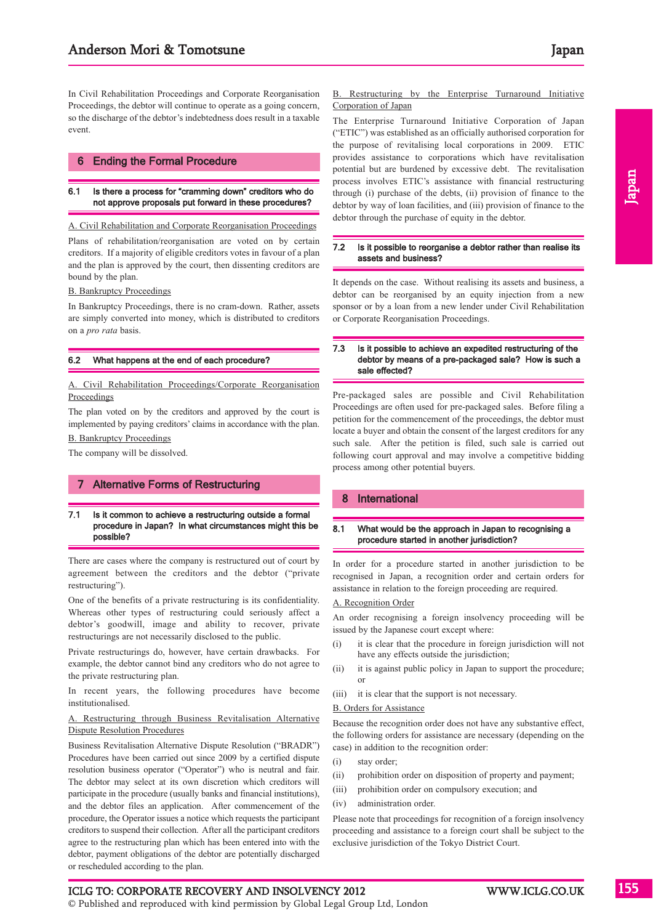In Civil Rehabilitation Proceedings and Corporate Reorganisation Proceedings, the debtor will continue to operate as a going concern, so the discharge of the debtor's indebtedness does result in a taxable event.

#### 6 Ending the Formal Procedure

#### 6.1 Is there a process for "cramming down" creditors who do not approve proposals put forward in these procedures?

A. Civil Rehabilitation and Corporate Reorganisation Proceedings

Plans of rehabilitation/reorganisation are voted on by certain creditors. If a majority of eligible creditors votes in favour of a plan and the plan is approved by the court, then dissenting creditors are bound by the plan.

B. Bankruptcy Proceedings

In Bankruptcy Proceedings, there is no cram-down. Rather, assets are simply converted into money, which is distributed to creditors on a *pro rata* basis.

#### 6.2 What happens at the end of each procedure?

A. Civil Rehabilitation Proceedings/Corporate Reorganisation **Proceedings** 

The plan voted on by the creditors and approved by the court is implemented by paying creditors' claims in accordance with the plan. B. Bankruptcy Proceedings

The company will be dissolved.

#### 7 Alternative Forms of Restructuring

#### 7.1 Is it common to achieve a restructuring outside a formal procedure in Japan? In what circumstances might this be possible?

There are cases where the company is restructured out of court by agreement between the creditors and the debtor ("private restructuring").

One of the benefits of a private restructuring is its confidentiality. Whereas other types of restructuring could seriously affect a debtor's goodwill, image and ability to recover, private restructurings are not necessarily disclosed to the public.

Private restructurings do, however, have certain drawbacks. For example, the debtor cannot bind any creditors who do not agree to the private restructuring plan.

In recent years, the following procedures have become institutionalised.

#### A. Restructuring through Business Revitalisation Alternative Dispute Resolution Procedures

Business Revitalisation Alternative Dispute Resolution ("BRADR") Procedures have been carried out since 2009 by a certified dispute resolution business operator ("Operator") who is neutral and fair. The debtor may select at its own discretion which creditors will participate in the procedure (usually banks and financial institutions), and the debtor files an application. After commencement of the procedure, the Operator issues a notice which requests the participant creditors to suspend their collection. After all the participant creditors agree to the restructuring plan which has been entered into with the debtor, payment obligations of the debtor are potentially discharged or rescheduled according to the plan.

#### B. Restructuring by the Enterprise Turnaround Initiative Corporation of Japan

The Enterprise Turnaround Initiative Corporation of Japan ("ETIC") was established as an officially authorised corporation for the purpose of revitalising local corporations in 2009. ETIC provides assistance to corporations which have revitalisation potential but are burdened by excessive debt. The revitalisation process involves ETIC's assistance with financial restructuring through (i) purchase of the debts, (ii) provision of finance to the debtor by way of loan facilities, and (iii) provision of finance to the debtor through the purchase of equity in the debtor.

#### 7.2 Is it possible to reorganise a debtor rather than realise its assets and business?

It depends on the case. Without realising its assets and business, a debtor can be reorganised by an equity injection from a new sponsor or by a loan from a new lender under Civil Rehabilitation or Corporate Reorganisation Proceedings.

#### 7.3 Is it possible to achieve an expedited restructuring of the debtor by means of a pre-packaged sale? How is such a sale effected?

Pre-packaged sales are possible and Civil Rehabilitation Proceedings are often used for pre-packaged sales. Before filing a petition for the commencement of the proceedings, the debtor must locate a buyer and obtain the consent of the largest creditors for any such sale. After the petition is filed, such sale is carried out following court approval and may involve a competitive bidding process among other potential buyers.

#### 8 International

#### 8.1 What would be the approach in Japan to recognising a procedure started in another jurisdiction?

In order for a procedure started in another jurisdiction to be recognised in Japan, a recognition order and certain orders for assistance in relation to the foreign proceeding are required.

#### A. Recognition Order

An order recognising a foreign insolvency proceeding will be issued by the Japanese court except where:

- (i) it is clear that the procedure in foreign jurisdiction will not have any effects outside the jurisdiction;
- (ii) it is against public policy in Japan to support the procedure; or
- (iii) it is clear that the support is not necessary.

#### B. Orders for Assistance

Because the recognition order does not have any substantive effect, the following orders for assistance are necessary (depending on the case) in addition to the recognition order:

- (i) stay order;
- (ii) prohibition order on disposition of property and payment;
- (iii) prohibition order on compulsory execution; and
- (iv) administration order.

Please note that proceedings for recognition of a foreign insolvency proceeding and assistance to a foreign court shall be subject to the exclusive jurisdiction of the Tokyo District Court.

Japan

#### ICLG TO: CORPORATE RECOVERY AND INSOLVENCY 2012 WWW.ICLG.CO.UK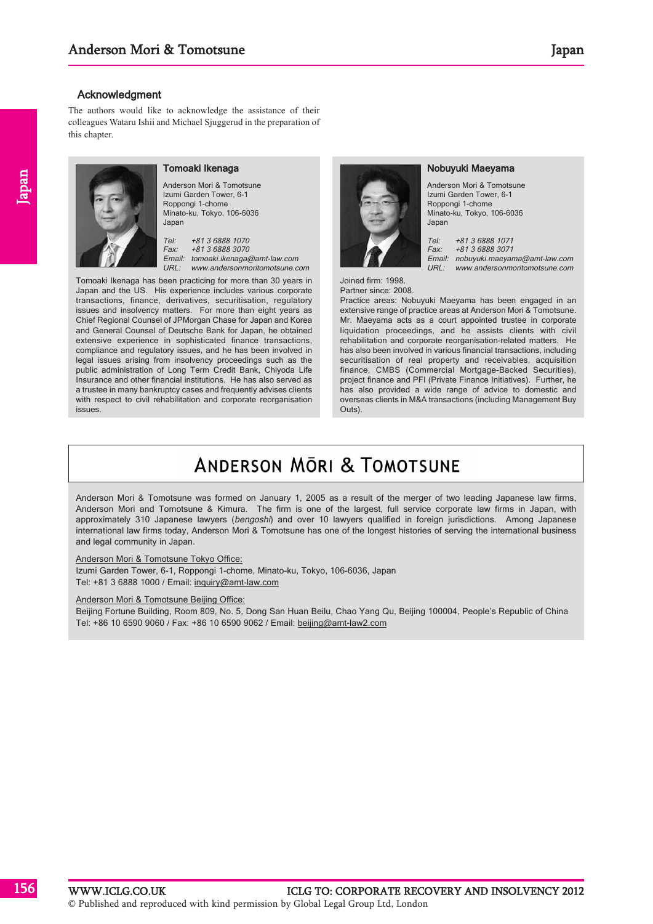#### **Acknowledgment**

The authors would like to acknowledge the assistance of their colleagues Wataru Ishii and Michael Sjuggerud in the preparation of this chapter.



#### Tomoaki Ikenaga

Anderson Mori & Tomotsune Izumi Garden Tower, 6-1 Roppongi 1-chome Minato-ku, Tokyo, 106-6036 Japan

Tel: +81 3 6888 1070 Fax: +81 3 6888 3070 Email: tomoaki.ikenaga@amt-law.com URL: www.andersonmoritomotsune.com

Tomoaki Ikenaga has been practicing for more than 30 years in Japan and the US. His experience includes various corporate transactions, finance, derivatives, securitisation, regulatory issues and insolvency matters. For more than eight years as Chief Regional Counsel of JPMorgan Chase for Japan and Korea and General Counsel of Deutsche Bank for Japan, he obtained extensive experience in sophisticated finance transactions, compliance and regulatory issues, and he has been involved in legal issues arising from insolvency proceedings such as the public administration of Long Term Credit Bank, Chiyoda Life Insurance and other financial institutions. He has also served as a trustee in many bankruptcy cases and frequently advises clients with respect to civil rehabilitation and corporate reorganisation issues.



#### Nobuyuki Maeyama

Anderson Mori & Tomotsune Izumi Garden Tower, 6-1 Roppongi 1-chome Minato-ku, Tokyo, 106-6036 Japan

Tel: +81 3 6888 1071 Fax: +81 3 6888 3071 Email: nobuyuki.maeyama@amt-law.com URL: www.andersonmoritomotsune.com

Joined firm: 1998. Partner since: 2008.

Practice areas: Nobuyuki Maeyama has been engaged in an extensive range of practice areas at Anderson Mori & Tomotsune. Mr. Maeyama acts as a court appointed trustee in corporate liquidation proceedings, and he assists clients with civil rehabilitation and corporate reorganisation-related matters. He has also been involved in various financial transactions, including securitisation of real property and receivables, acquisition finance, CMBS (Commercial Mortgage-Backed Securities), project finance and PFI (Private Finance Initiatives). Further, he has also provided a wide range of advice to domestic and overseas clients in M&A transactions (including Management Buy Outs).

# **ANDERSON MORL & TOMOTSUNE**

Anderson Mori & Tomotsune was formed on January 1, 2005 as a result of the merger of two leading Japanese law firms, Anderson Mori and Tomotsune & Kimura. The firm is one of the largest, full service corporate law firms in Japan, with approximately 310 Japanese lawyers (bengoshi) and over 10 lawyers qualified in foreign jurisdictions. Among Japanese international law firms today, Anderson Mori & Tomotsune has one of the longest histories of serving the international business and legal community in Japan.

#### Anderson Mori & Tomotsune Tokyo Office:

Izumi Garden Tower, 6-1, Roppongi 1-chome, Minato-ku, Tokyo, 106-6036, Japan Tel: +81 3 6888 1000 / Email: inquiry@amt-law.com

#### Anderson Mori & Tomotsune Beijing Office:

Beijing Fortune Building, Room 809, No. 5, Dong San Huan Beilu, Chao Yang Qu, Beijing 100004, People's Republic of China Tel: +86 10 6590 9060 / Fax: +86 10 6590 9062 / Email: beijing@amt-law2.com